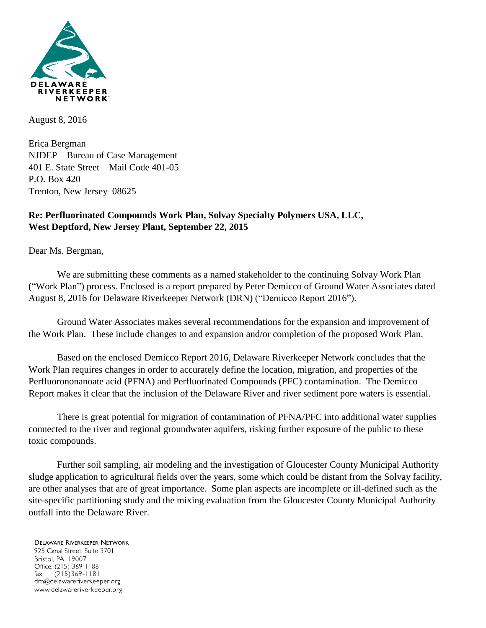

August 8, 2016

Erica Bergman NJDEP – Bureau of Case Management 401 E. State Street – Mail Code 401-05 P.O. Box 420 Trenton, New Jersey 08625

### **Re: Perfluorinated Compounds Work Plan, Solvay Specialty Polymers USA, LLC, West Deptford, New Jersey Plant, September 22, 2015**

Dear Ms. Bergman,

We are submitting these comments as a named stakeholder to the continuing Solvay Work Plan ("Work Plan") process. Enclosed is a report prepared by Peter Demicco of Ground Water Associates dated August 8, 2016 for Delaware Riverkeeper Network (DRN) ("Demicco Report 2016").

Ground Water Associates makes several recommendations for the expansion and improvement of the Work Plan. These include changes to and expansion and/or completion of the proposed Work Plan.

Based on the enclosed Demicco Report 2016, Delaware Riverkeeper Network concludes that the Work Plan requires changes in order to accurately define the location, migration, and properties of the Perfluorononanoate acid (PFNA) and Perfluorinated Compounds (PFC) contamination. The Demicco Report makes it clear that the inclusion of the Delaware River and river sediment pore waters is essential.

There is great potential for migration of contamination of PFNA/PFC into additional water supplies connected to the river and regional groundwater aquifers, risking further exposure of the public to these toxic compounds.

Further soil sampling, air modeling and the investigation of Gloucester County Municipal Authority sludge application to agricultural fields over the years, some which could be distant from the Solvay facility, are other analyses that are of great importance. Some plan aspects are incomplete or ill-defined such as the site-specific partitioning study and the mixing evaluation from the Gloucester County Municipal Authority outfall into the Delaware River.

#### **DELAWARE RIVERKEEPER NETWORK** 925 Canal Street, Suite 3701 Bristol, PA 19007 Office: (215) 369-1188  $(215)369 - 1181$ fax: drn@delawareriverkeeper.org www.delawareriverkeeper.org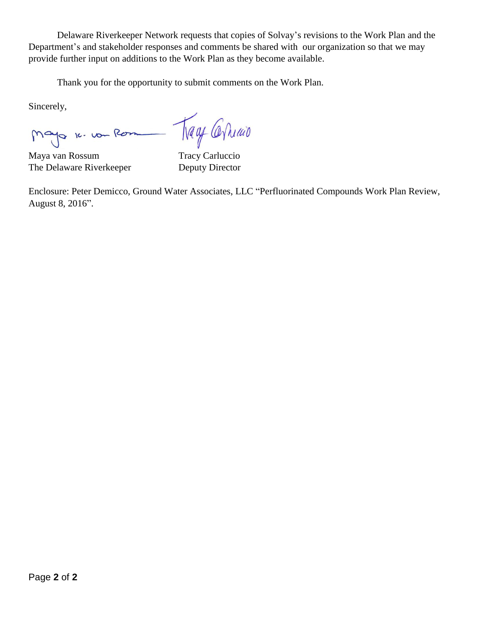Delaware Riverkeeper Network requests that copies of Solvay's revisions to the Work Plan and the Department's and stakeholder responses and comments be shared with our organization so that we may provide further input on additions to the Work Plan as they become available.

Thank you for the opportunity to submit comments on the Work Plan.

Sincerely,

Mayo 1. von Rom - Nagy Carlund

Maya van Rossum Tracy Carluccio The Delaware Riverkeeper Deputy Director

Enclosure: Peter Demicco, Ground Water Associates, LLC "Perfluorinated Compounds Work Plan Review, August 8, 2016".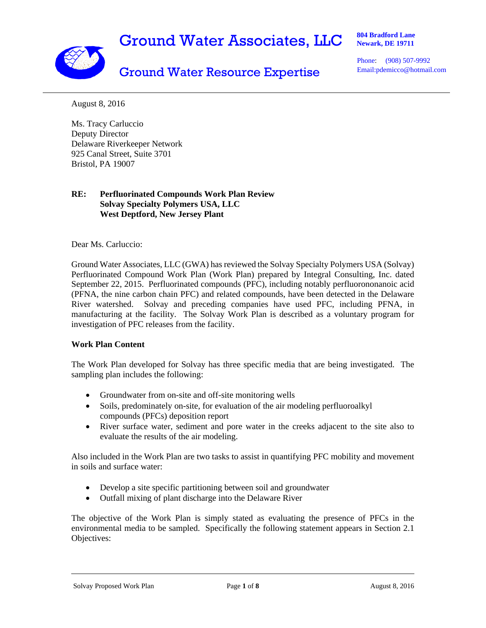# Ground Water Associates, LLC



**804 Bradford Lane Newark, DE 19711** 

## Ground Water Resource Expertise

Phone: (908) 507-9992 Email:pdemicco@hotmail.com

August 8, 2016

Ms. Tracy Carluccio Deputy Director Delaware Riverkeeper Network 925 Canal Street, Suite 3701 Bristol, PA 19007

#### **RE: Perfluorinated Compounds Work Plan Review Solvay Specialty Polymers USA, LLC West Deptford, New Jersey Plant**

Dear Ms. Carluccio:

Ground Water Associates, LLC (GWA) has reviewed the Solvay Specialty Polymers USA (Solvay) Perfluorinated Compound Work Plan (Work Plan) prepared by Integral Consulting, Inc. dated September 22, 2015. Perfluorinated compounds (PFC), including notably perfluorononanoic acid (PFNA, the nine carbon chain PFC) and related compounds, have been detected in the Delaware River watershed. Solvay and preceding companies have used PFC, including PFNA, in manufacturing at the facility. The Solvay Work Plan is described as a voluntary program for investigation of PFC releases from the facility.

#### **Work Plan Content**

The Work Plan developed for Solvay has three specific media that are being investigated. The sampling plan includes the following:

- Groundwater from on-site and off-site monitoring wells
- Soils, predominately on-site, for evaluation of the air modeling perfluoroalkyl compounds (PFCs) deposition report
- River surface water, sediment and pore water in the creeks adjacent to the site also to evaluate the results of the air modeling.

Also included in the Work Plan are two tasks to assist in quantifying PFC mobility and movement in soils and surface water:

- Develop a site specific partitioning between soil and groundwater
- Outfall mixing of plant discharge into the Delaware River

The objective of the Work Plan is simply stated as evaluating the presence of PFCs in the environmental media to be sampled. Specifically the following statement appears in Section 2.1 Objectives:

Solvay Proposed Work Plan Page **1** of **8** August 8, 2016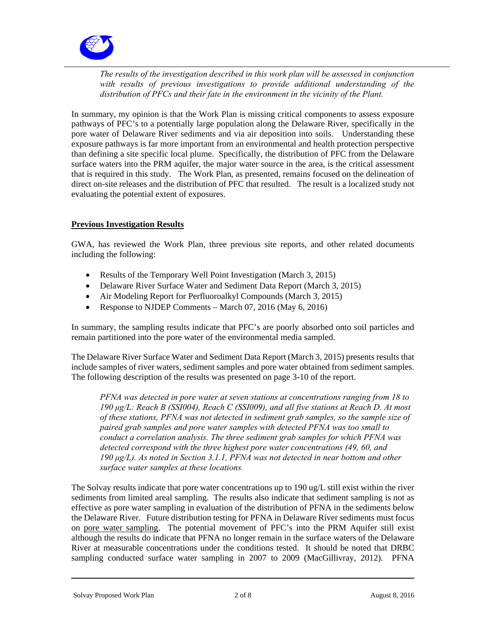

*The results of the investigation described in this work plan will be assessed in conjunction with results of previous investigations to provide additional understanding of the distribution of PFCs and their fate in the environment in the vicinity of the Plant.* 

In summary, my opinion is that the Work Plan is missing critical components to assess exposure pathways of PFC's to a potentially large population along the Delaware River, specifically in the pore water of Delaware River sediments and via air deposition into soils. Understanding these exposure pathways is far more important from an environmental and health protection perspective than defining a site specific local plume. Specifically, the distribution of PFC from the Delaware surface waters into the PRM aquifer, the major water source in the area, is the critical assessment that is required in this study. The Work Plan, as presented, remains focused on the delineation of direct on-site releases and the distribution of PFC that resulted. The result is a localized study not evaluating the potential extent of exposures.

#### **Previous Investigation Results**

GWA, has reviewed the Work Plan, three previous site reports, and other related documents including the following:

- Results of the Temporary Well Point Investigation (March 3, 2015)
- Delaware River Surface Water and Sediment Data Report (March 3, 2015)
- Air Modeling Report for Perfluoroalkyl Compounds (March 3, 2015)
- Response to NJDEP Comments March 07, 2016 (May 6, 2016)

In summary, the sampling results indicate that PFC's are poorly absorbed onto soil particles and remain partitioned into the pore water of the environmental media sampled.

The Delaware River Surface Water and Sediment Data Report (March 3, 2015) presents results that include samples of river waters, sediment samples and pore water obtained from sediment samples. The following description of the results was presented on page 3-10 of the report.

*PFNA was detected in pore water at seven stations at concentrations ranging from 18 to 190 μg/L: Reach B (SSI004), Reach C (SSI009), and all five stations at Reach D. At most of these stations, PFNA was not detected in sediment grab samples, so the sample size of paired grab samples and pore water samples with detected PFNA was too small to conduct a correlation analysis. The three sediment grab samples for which PFNA was detected correspond with the three highest pore water concentrations (49, 60, and 190 μg/L). As noted in Section 3.1.1, PFNA was not detected in near bottom and other surface water samples at these locations.* 

The Solvay results indicate that pore water concentrations up to 190 ug/L still exist within the river sediments from limited areal sampling. The results also indicate that sediment sampling is not as effective as pore water sampling in evaluation of the distribution of PFNA in the sediments below the Delaware River. Future distribution testing for PFNA in Delaware River sediments must focus on pore water sampling. The potential movement of PFC's into the PRM Aquifer still exist although the results do indicate that PFNA no longer remain in the surface waters of the Delaware River at measurable concentrations under the conditions tested. It should be noted that DRBC sampling conducted surface water sampling in 2007 to 2009 (MacGillivray, 2012). PFNA

Solvay Proposed Work Plan 2 of 8 August 8, 2016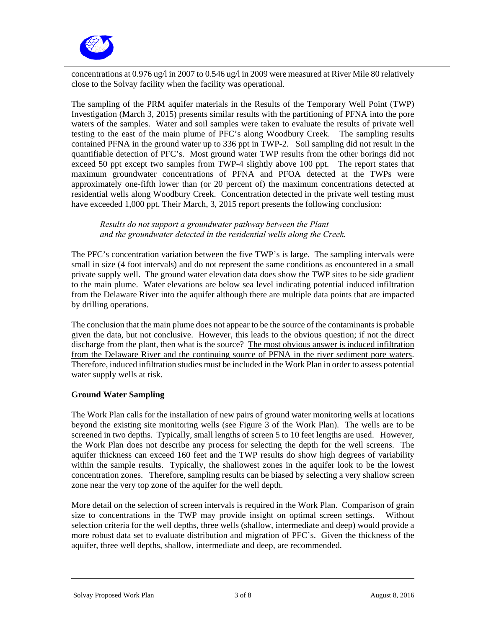

concentrations at 0.976 ug/l in 2007 to 0.546 ug/l in 2009 were measured at River Mile 80 relatively close to the Solvay facility when the facility was operational.

The sampling of the PRM aquifer materials in the Results of the Temporary Well Point (TWP) Investigation (March 3, 2015) presents similar results with the partitioning of PFNA into the pore waters of the samples. Water and soil samples were taken to evaluate the results of private well testing to the east of the main plume of PFC's along Woodbury Creek. The sampling results contained PFNA in the ground water up to 336 ppt in TWP-2. Soil sampling did not result in the quantifiable detection of PFC's. Most ground water TWP results from the other borings did not exceed 50 ppt except two samples from TWP-4 slightly above 100 ppt. The report states that maximum groundwater concentrations of PFNA and PFOA detected at the TWPs were approximately one-fifth lower than (or 20 percent of) the maximum concentrations detected at residential wells along Woodbury Creek. Concentration detected in the private well testing must have exceeded 1,000 ppt. Their March, 3, 2015 report presents the following conclusion:

*Results do not support a groundwater pathway between the Plant and the groundwater detected in the residential wells along the Creek.* 

The PFC's concentration variation between the five TWP's is large. The sampling intervals were small in size (4 foot intervals) and do not represent the same conditions as encountered in a small private supply well. The ground water elevation data does show the TWP sites to be side gradient to the main plume. Water elevations are below sea level indicating potential induced infiltration from the Delaware River into the aquifer although there are multiple data points that are impacted by drilling operations.

The conclusion that the main plume does not appear to be the source of the contaminants is probable given the data, but not conclusive. However, this leads to the obvious question; if not the direct discharge from the plant, then what is the source? The most obvious answer is induced infiltration from the Delaware River and the continuing source of PFNA in the river sediment pore waters. Therefore, induced infiltration studies must be included in the Work Plan in order to assess potential water supply wells at risk.

#### **Ground Water Sampling**

The Work Plan calls for the installation of new pairs of ground water monitoring wells at locations beyond the existing site monitoring wells (see Figure 3 of the Work Plan). The wells are to be screened in two depths. Typically, small lengths of screen 5 to 10 feet lengths are used. However, the Work Plan does not describe any process for selecting the depth for the well screens. The aquifer thickness can exceed 160 feet and the TWP results do show high degrees of variability within the sample results. Typically, the shallowest zones in the aquifer look to be the lowest concentration zones. Therefore, sampling results can be biased by selecting a very shallow screen zone near the very top zone of the aquifer for the well depth.

More detail on the selection of screen intervals is required in the Work Plan. Comparison of grain size to concentrations in the TWP may provide insight on optimal screen settings. Without selection criteria for the well depths, three wells (shallow, intermediate and deep) would provide a more robust data set to evaluate distribution and migration of PFC's. Given the thickness of the aquifer, three well depths, shallow, intermediate and deep, are recommended.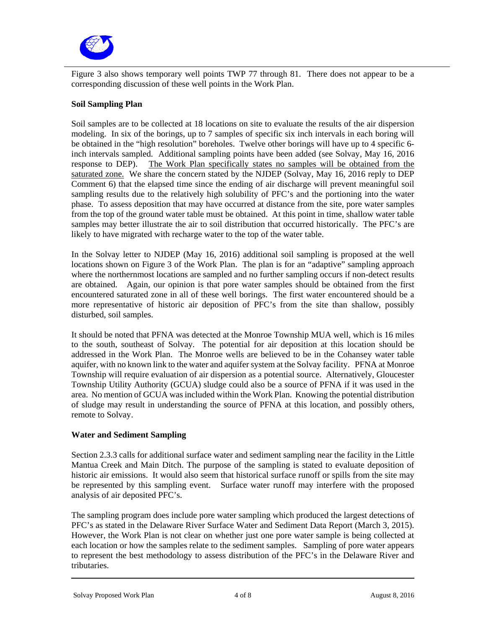

Figure 3 also shows temporary well points TWP 77 through 81. There does not appear to be a corresponding discussion of these well points in the Work Plan.

#### **Soil Sampling Plan**

Soil samples are to be collected at 18 locations on site to evaluate the results of the air dispersion modeling. In six of the borings, up to 7 samples of specific six inch intervals in each boring will be obtained in the "high resolution" boreholes. Twelve other borings will have up to 4 specific 6 inch intervals sampled. Additional sampling points have been added (see Solvay, May 16, 2016 response to DEP). The Work Plan specifically states no samples will be obtained from the saturated zone. We share the concern stated by the NJDEP (Solvay, May 16, 2016 reply to DEP Comment 6) that the elapsed time since the ending of air discharge will prevent meaningful soil sampling results due to the relatively high solubility of PFC's and the portioning into the water phase. To assess deposition that may have occurred at distance from the site, pore water samples from the top of the ground water table must be obtained. At this point in time, shallow water table samples may better illustrate the air to soil distribution that occurred historically. The PFC's are likely to have migrated with recharge water to the top of the water table.

In the Solvay letter to NJDEP (May 16, 2016) additional soil sampling is proposed at the well locations shown on Figure 3 of the Work Plan. The plan is for an "adaptive" sampling approach where the northernmost locations are sampled and no further sampling occurs if non-detect results are obtained. Again, our opinion is that pore water samples should be obtained from the first encountered saturated zone in all of these well borings. The first water encountered should be a more representative of historic air deposition of PFC's from the site than shallow, possibly disturbed, soil samples.

It should be noted that PFNA was detected at the Monroe Township MUA well, which is 16 miles to the south, southeast of Solvay. The potential for air deposition at this location should be addressed in the Work Plan. The Monroe wells are believed to be in the Cohansey water table aquifer, with no known link to the water and aquifer system at the Solvay facility. PFNA at Monroe Township will require evaluation of air dispersion as a potential source. Alternatively, Gloucester Township Utility Authority (GCUA) sludge could also be a source of PFNA if it was used in the area. No mention of GCUA was included within the Work Plan. Knowing the potential distribution of sludge may result in understanding the source of PFNA at this location, and possibly others, remote to Solvay.

#### **Water and Sediment Sampling**

Section 2.3.3 calls for additional surface water and sediment sampling near the facility in the Little Mantua Creek and Main Ditch. The purpose of the sampling is stated to evaluate deposition of historic air emissions. It would also seem that historical surface runoff or spills from the site may be represented by this sampling event. Surface water runoff may interfere with the proposed analysis of air deposited PFC's.

The sampling program does include pore water sampling which produced the largest detections of PFC's as stated in the Delaware River Surface Water and Sediment Data Report (March 3, 2015). However, the Work Plan is not clear on whether just one pore water sample is being collected at each location or how the samples relate to the sediment samples. Sampling of pore water appears to represent the best methodology to assess distribution of the PFC's in the Delaware River and tributaries.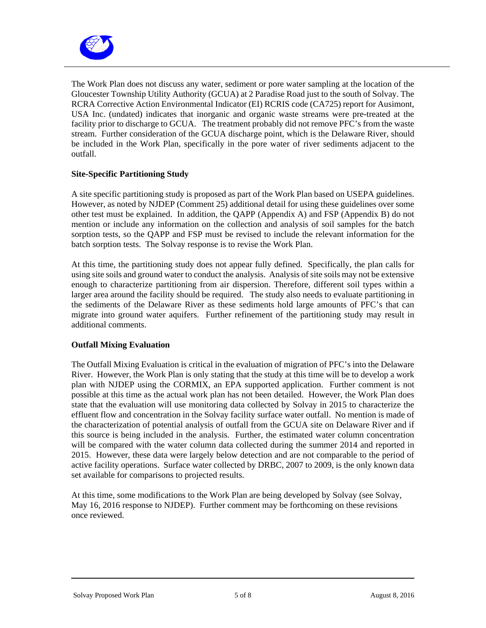

The Work Plan does not discuss any water, sediment or pore water sampling at the location of the Gloucester Township Utility Authority (GCUA) at 2 Paradise Road just to the south of Solvay. The RCRA Corrective Action Environmental Indicator (EI) RCRIS code (CA725) report for Ausimont, USA Inc. (undated) indicates that inorganic and organic waste streams were pre-treated at the facility prior to discharge to GCUA. The treatment probably did not remove PFC's from the waste stream. Further consideration of the GCUA discharge point, which is the Delaware River, should be included in the Work Plan, specifically in the pore water of river sediments adjacent to the outfall.

#### **Site-Specific Partitioning Study**

A site specific partitioning study is proposed as part of the Work Plan based on USEPA guidelines. However, as noted by NJDEP (Comment 25) additional detail for using these guidelines over some other test must be explained. In addition, the QAPP (Appendix A) and FSP (Appendix B) do not mention or include any information on the collection and analysis of soil samples for the batch sorption tests, so the QAPP and FSP must be revised to include the relevant information for the batch sorption tests. The Solvay response is to revise the Work Plan.

At this time, the partitioning study does not appear fully defined. Specifically, the plan calls for using site soils and ground water to conduct the analysis. Analysis of site soils may not be extensive enough to characterize partitioning from air dispersion. Therefore, different soil types within a larger area around the facility should be required. The study also needs to evaluate partitioning in the sediments of the Delaware River as these sediments hold large amounts of PFC's that can migrate into ground water aquifers. Further refinement of the partitioning study may result in additional comments.

#### **Outfall Mixing Evaluation**

The Outfall Mixing Evaluation is critical in the evaluation of migration of PFC's into the Delaware River. However, the Work Plan is only stating that the study at this time will be to develop a work plan with NJDEP using the CORMIX, an EPA supported application. Further comment is not possible at this time as the actual work plan has not been detailed. However, the Work Plan does state that the evaluation will use monitoring data collected by Solvay in 2015 to characterize the effluent flow and concentration in the Solvay facility surface water outfall. No mention is made of the characterization of potential analysis of outfall from the GCUA site on Delaware River and if this source is being included in the analysis. Further, the estimated water column concentration will be compared with the water column data collected during the summer 2014 and reported in 2015. However, these data were largely below detection and are not comparable to the period of active facility operations. Surface water collected by DRBC, 2007 to 2009, is the only known data set available for comparisons to projected results.

At this time, some modifications to the Work Plan are being developed by Solvay (see Solvay, May 16, 2016 response to NJDEP). Further comment may be forthcoming on these revisions once reviewed.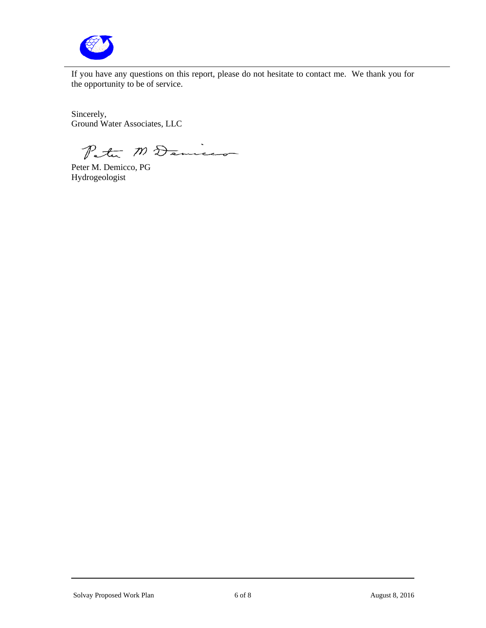

If you have any questions on this report, please do not hesitate to contact me. We thank you for the opportunity to be of service.

Sincerely, Ground Water Associates, LLC

Peter M Denices

Hydrogeologist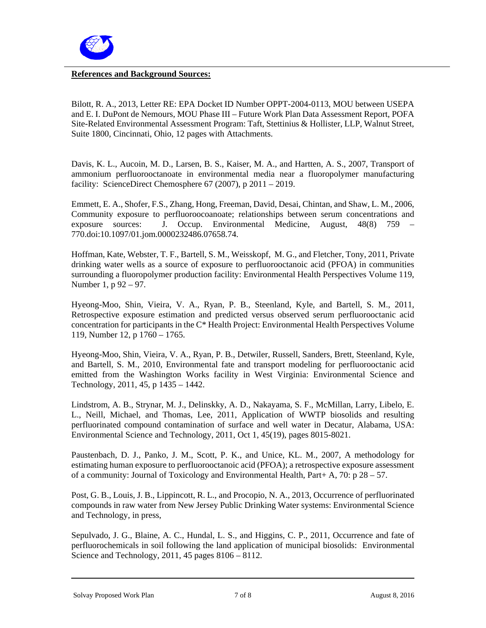

#### **References and Background Sources:**

Bilott, R. A., 2013, Letter RE: EPA Docket ID Number OPPT-2004-0113, MOU between USEPA and E. I. DuPont de Nemours, MOU Phase III – Future Work Plan Data Assessment Report, POFA Site-Related Environmental Assessment Program: Taft, Stettinius & Hollister, LLP, Walnut Street, Suite 1800, Cincinnati, Ohio, 12 pages with Attachments.

Davis, K. L., Aucoin, M. D., Larsen, B. S., Kaiser, M. A., and Hartten, A. S., 2007, Transport of ammonium perfluorooctanoate in environmental media near a fluoropolymer manufacturing facility: ScienceDirect Chemosphere  $67$  (2007), p  $2011 - 2019$ .

Emmett, E. A., Shofer, F.S., Zhang, Hong, Freeman, David, Desai, Chintan, and Shaw, L. M., 2006, Community exposure to perfluoroocoanoate; relationships between serum concentrations and exposure sources: J. Occup. Environmental Medicine, August, 48(8) 759 – 770.doi:10.1097/01.jom.0000232486.07658.74.

Hoffman, Kate, Webster, T. F., Bartell, S. M., Weisskopf, M. G., and Fletcher, Tony, 2011, Private drinking water wells as a source of exposure to perfluorooctanoic acid (PFOA) in communities surrounding a fluoropolymer production facility: Environmental Health Perspectives Volume 119, Number 1, p 92 – 97.

Hyeong-Moo, Shin, Vieira, V. A., Ryan, P. B., Steenland, Kyle, and Bartell, S. M., 2011, Retrospective exposure estimation and predicted versus observed serum perfluorooctanic acid concentration for participants in the C\* Health Project: Environmental Health Perspectives Volume 119, Number 12, p 1760 – 1765.

Hyeong-Moo, Shin, Vieira, V. A., Ryan, P. B., Detwiler, Russell, Sanders, Brett, Steenland, Kyle, and Bartell, S. M., 2010, Environmental fate and transport modeling for perfluorooctanic acid emitted from the Washington Works facility in West Virginia: Environmental Science and Technology, 2011, 45, p 1435 – 1442.

Lindstrom, A. B., Strynar, M. J., Delinskky, A. D., Nakayama, S. F., McMillan, Larry, Libelo, E. L., Neill, Michael, and Thomas, Lee, 2011, Application of WWTP biosolids and resulting perfluorinated compound contamination of surface and well water in Decatur, Alabama, USA: Environmental Science and Technology, 2011, Oct 1, 45(19), pages 8015-8021.

Paustenbach, D. J., Panko, J. M., Scott, P. K., and Unice, KL. M., 2007, A methodology for estimating human exposure to perfluorooctanoic acid (PFOA); a retrospective exposure assessment of a community: Journal of Toxicology and Environmental Health, Part+ A, 70: p 28 – 57.

Post, G. B., Louis, J. B., Lippincott, R. L., and Procopio, N. A., 2013, Occurrence of perfluorinated compounds in raw water from New Jersey Public Drinking Water systems: Environmental Science and Technology, in press,

Sepulvado, J. G., Blaine, A. C., Hundal, L. S., and Higgins, C. P., 2011, Occurrence and fate of perfluorochemicals in soil following the land application of municipal biosolids: Environmental Science and Technology, 2011, 45 pages 8106 – 8112.

Solvay Proposed Work Plan 7 of 8 August 8, 2016